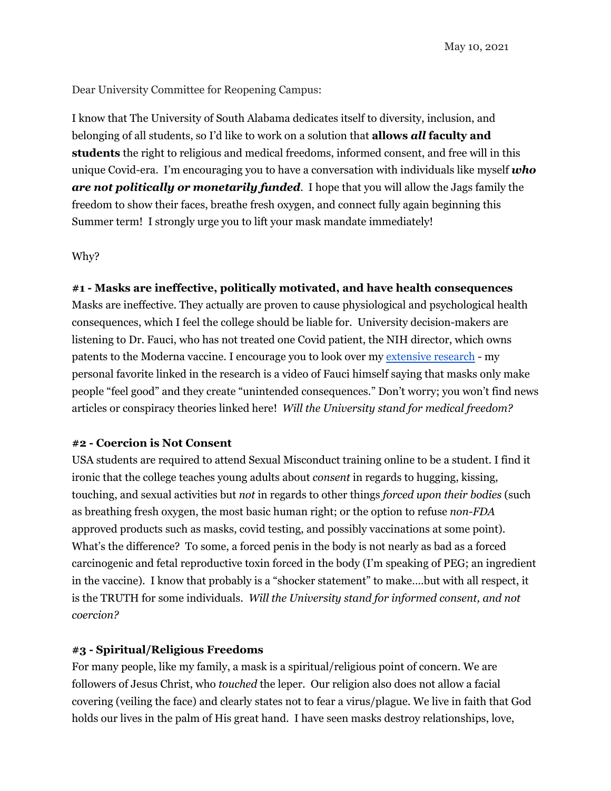May 10, 2021

Dear University Committee for Reopening Campus:

I know that The University of South Alabama dedicates itself to diversity, inclusion, and belonging of all students, so I'd like to work on a solution that **allows** *all* **faculty and students** the right to religious and medical freedoms, informed consent, and free will in this unique Covid-era. I'm encouraging you to have a conversation with individuals like myself *who are not politically or monetarily funded*. I hope that you will allow the Jags family the freedom to show their faces, breathe fresh oxygen, and connect fully again beginning this Summer term! I strongly urge you to lift your mask mandate immediately!

# Why?

# **#1 - Masks are ineffective, politically motivated, and have health consequences**

Masks are ineffective. They actually are proven to cause physiological and psychological health consequences, which I feel the college should be liable for. University decision-makers are listening to Dr. Fauci, who has not treated one Covid patient, the NIH director, which owns patents to the Moderna vaccine. I encourage you to look over my [extensive](https://docs.google.com/document/d/1AZRskcQt3rQHgzK5ZRjGpUQ5av8VldzYNKiGwCqEgfk/edit?usp=sharing) research - my personal favorite linked in the research is a video of Fauci himself saying that masks only make people "feel good" and they create "unintended consequences." Don't worry; you won't find news articles or conspiracy theories linked here! *Will the University stand for medical freedom?*

### **#2 - Coercion is Not Consent**

USA students are required to attend Sexual Misconduct training online to be a student. I find it ironic that the college teaches young adults about *consent* in regards to hugging, kissing, touching, and sexual activities but *not* in regards to other things *forced upon their bodies* (such as breathing fresh oxygen, the most basic human right; or the option to refuse *non-FDA* approved products such as masks, covid testing, and possibly vaccinations at some point). What's the difference? To some, a forced penis in the body is not nearly as bad as a forced carcinogenic and fetal reproductive toxin forced in the body (I'm speaking of PEG; an ingredient in the vaccine). I know that probably is a "shocker statement" to make….but with all respect, it is the TRUTH for some individuals. *Will the University stand for informed consent, and not coercion?*

# **#3 - Spiritual/Religious Freedoms**

For many people, like my family, a mask is a spiritual/religious point of concern. We are followers of Jesus Christ, who *touched* the leper. Our religion also does not allow a facial covering (veiling the face) and clearly states not to fear a virus/plague. We live in faith that God holds our lives in the palm of His great hand. I have seen masks destroy relationships, love,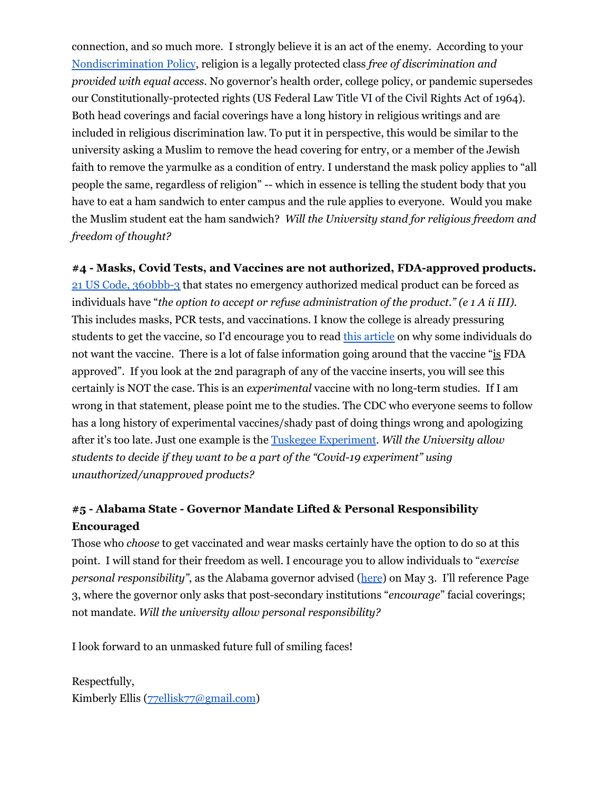connection, and so much more. I strongly believe it is an act of the enemy. According to you[r](https://www.southalabama.edu/colleges/com/com-bulletin/policy-nondiscrimination.html) [Nondiscrimination](https://www.southalabama.edu/colleges/com/com-bulletin/policy-nondiscrimination.html) Policy, religion is a legally protected class *free of discrimination and provided with equal access*. No governor's health order, college policy, or pandemic supersedes our Constitutionally-protected rights (US Federal Law Title VI of the Civil Rights Act of 1964). Both head coverings and facial coverings have a long history in religious writings and are included in religious discrimination law. To put it in perspective, this would be similar to the university asking a Muslim to remove the head covering for entry, or a member of the Jewish faith to remove the yarmulke as a condition of entry. I understand the mask policy applies to "all people the same, regardless of religion" -- which in essence is telling the student body that you have to eat a ham sandwich to enter campus and the rule applies to everyone. Would you make the Muslim student eat the ham sandwich? *Will the University stand for religious freedom and freedom of thought?*

**#4 - Masks, Covid Tests, and Vaccines are not authorized, FDA-approved products.**

21 US Code, [360bbb-3](https://www.law.cornell.edu/uscode/text/21/360bbb-3) that states no emergency authorized medical product can be forced as individuals have "*the option to accept or refuse administration of the product." (e 1 A ii III).* This includes masks, PCR tests, and vaccinations. I know the college is already pressuring students to get the vaccine, so I'd encourage you to read this [article](https://www.deconstructingconventional.com/post/18-reason-i-won-t-be-getting-a-covid-vaccine) on why some individuals do not want the vaccine. There is a lot of false information going around that the vaccine "is FDA approved". If you look at the 2nd paragraph of any of the vaccine inserts, you will see this certainly is NOT the case. This is an *experimental* vaccine with no long-term studies. If I am wrong in that statement, please point me to the studies. The CDC who everyone seems to follow has a long history of experimental vaccines/shady past of doing things wrong and apologizing after it's too late. Just one example is the Tuskegee [Experiment](https://www.cdc.gov/tuskegee/timeline.htm). *Will the University allow students to decide if they want to be a part of the "Covid-19 experiment" using unauthorized/unapproved products?*

# **#5 - Alabama State - Governor Mandate Lifted & Personal Responsibility Encouraged**

Those who *choose* to get vaccinated and wear masks certainly have the option to do so at this point. I will stand for their freedom as well. I encourage you to allow individuals to "*exercise personal responsibility"*, as the Alabama governor advised ([here](https://governor.alabama.gov/assets/2021/05/Safer-Apart-Order-05-03-2021-FINAL.pdf)) on May 3. I'll reference Page 3, where the governor only asks that post-secondary institutions "*encourage*" facial coverings; not mandate. *Will the university allow personal responsibility?*

I look forward to an unmasked future full of smiling faces!

Respectfully, Kimberly Ellis ([77ellisk77@gmail.com](mailto:77ellisk77@gmail.com))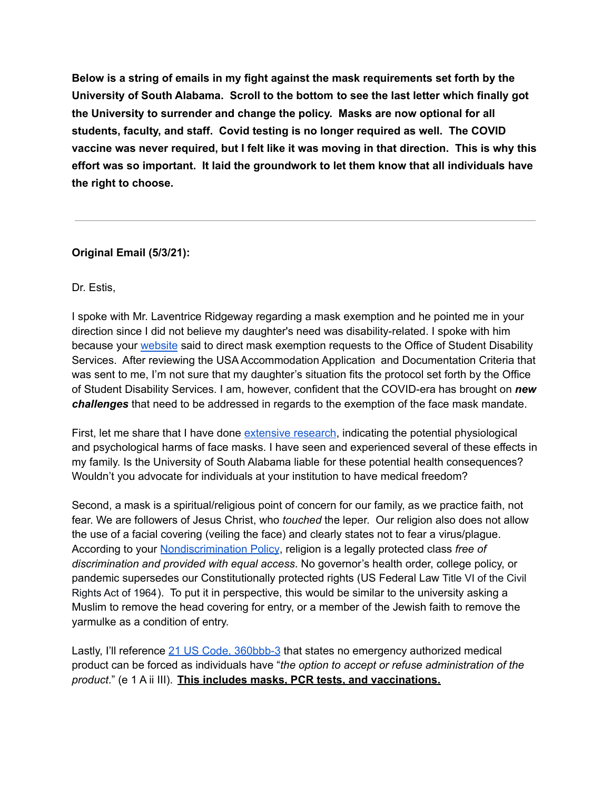**Below is a string of emails in my fight against the mask requirements set forth by the University of South Alabama. Scroll to the bottom to see the last letter which finally got the University to surrender and change the policy. Masks are now optional for all students, faculty, and staff. Covid testing is no longer required as well. The COVID vaccine was never required, but I felt like it was moving in that direction. This is why this effort was so important. It laid the groundwork to let them know that all individuals have the right to choose.**

# **Original Email (5/3/21):**

Dr. Estis,

I spoke with Mr. Laventrice Ridgeway regarding a mask exemption and he pointed me in your direction since I did not believe my daughter's need was disability-related. I spoke with him because your [website](https://www.southalabama.edu/reopening/) said to direct mask exemption requests to the Office of Student Disability Services. After reviewing the USA Accommodation Application and Documentation Criteria that was sent to me, I'm not sure that my daughter's situation fits the protocol set forth by the Office of Student Disability Services. I am, however, confident that the COVID-era has brought on *new challenges* that need to be addressed in regards to the exemption of the face mask mandate.

First, let me share that I have done [extensive](https://docs.google.com/document/d/1AZRskcQt3rQHgzK5ZRjGpUQ5av8VldzYNKiGwCqEgfk/edit?usp=sharing) research, indicating the potential physiological and psychological harms of face masks. I have seen and experienced several of these effects in my family. Is the University of South Alabama liable for these potential health consequences? Wouldn't you advocate for individuals at your institution to have medical freedom?

Second, a mask is a spiritual/religious point of concern for our family, as we practice faith, not fear. We are followers of Jesus Christ, who *touched* the leper. Our religion also does not allow the use of a facial covering (veiling the face) and clearly states not to fear a virus/plague. According to your [Nondiscrimination](https://www.southalabama.edu/colleges/com/com-bulletin/policy-nondiscrimination.html) Policy, religion is a legally protected class *free of discrimination and provided with equal access*. No governor's health order, college policy, or pandemic supersedes our Constitutionally protected rights (US Federal Law Title VI of the Civil Rights Act of 1964). To put it in perspective, this would be similar to the university asking a Muslim to remove the head covering for entry, or a member of the Jewish faith to remove the yarmulke as a condition of entry.

Lastly, I'll reference 21 US Code, [360bbb-3](https://www.law.cornell.edu/uscode/text/21/360bbb-3) that states no emergency authorized medical product can be forced as individuals have "*the option to accept or refuse administration of the product*." (e 1 A ii III). **This includes masks, PCR tests, and vaccinations.**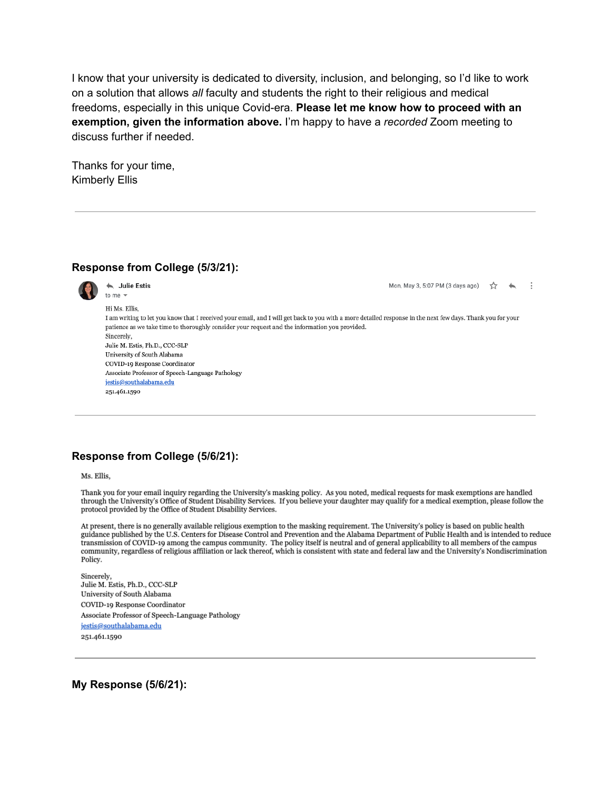I know that your university is dedicated to diversity, inclusion, and belonging, so I'd like to work on a solution that allows *all* faculty and students the right to their religious and medical freedoms, especially in this unique Covid-era. **Please let me know how to proceed with an exemption, given the information above.** I'm happy to have a *recorded* Zoom meeting to discuss further if needed.

Thanks for your time, Kimberly Ellis

### **Response from College (5/3/21):**



← Julie Estis to me  $\sqrt{ }$ 

Hi Ms. Ellis.

Mon. May 3, 5:07 PM (3 days ago)  $\frac{4}{3}$  $\cdot$ :

I am writing to let you know that I received your email, and I will get back to you with a more detailed response in the next few days. Thank you for your patience as we take time to thoroughly consider your request and the information you provided. Sincerely. Julie M. Estis, Ph.D., CCC-SLP University of South Alabama COVID-19 Response Coordinator Associate Professor of Speech-Language Pathology jestis@southalabama.edu

251.461.1590

# **Response from College (5/6/21):**

Ms. Ellis.

Thank you for your email inquiry regarding the University's masking policy. As you noted, medical requests for mask exemptions are handled through the University's Office of Student Disability Services. If you believe your daughter may qualify for a medical exemption, please follow the protocol provided by the Office of Student Disability Services.

At present, there is no generally available religious exemption to the masking requirement. The University's policy is based on public health guidance published by the U.S. Centers for Disease Control and Prevention and the Alabama Department of Public Health and is intended to reduce transmission of COVID-19 among the campus community. The policy itself is neutral and of general applicability to all members of the campus community, regardless of religious affiliation or lack thereof, which is consistent with state and federal law and the University's Nondiscrimination Policy.

Sincerely. Julie M. Estis, Ph.D., CCC-SLP University of South Alabama COVID-19 Response Coordinator Associate Professor of Speech-Language Pathology jestis@southalabama.edu

251.461.1590

**My Response (5/6/21):**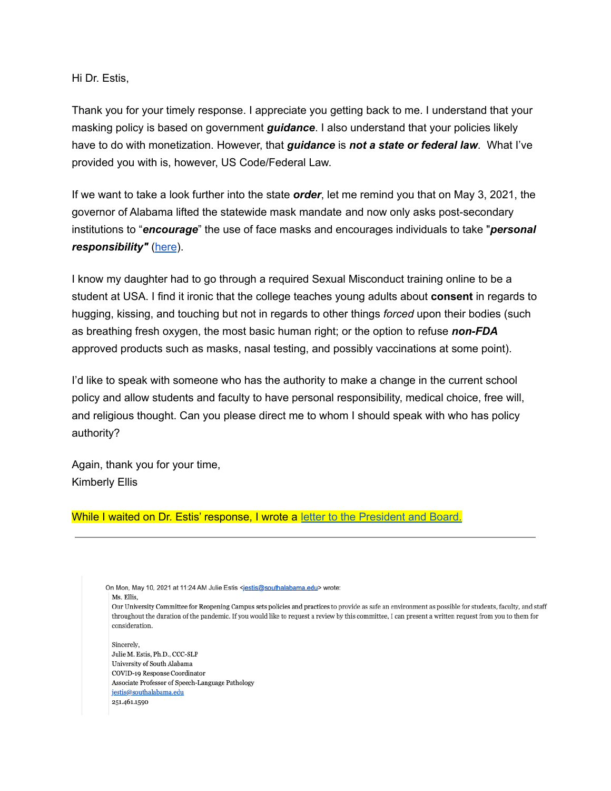Hi Dr. Estis,

Thank you for your timely response. I appreciate you getting back to me. I understand that your masking policy is based on government *guidance*. I also understand that your policies likely have to do with monetization. However, that *guidance* is *not a state or federal law*. What I've provided you with is, however, US Code/Federal Law.

If we want to take a look further into the state *order*, let me remind you that on May 3, 2021, the governor of Alabama lifted the statewide mask mandate and now only asks post-secondary institutions to "*encourage*" the use of face masks and encourages individuals to take "*personal responsibility"* [\(here](https://governor.alabama.gov/assets/2021/05/Safer-Apart-Order-05-03-2021-FINAL.pdf)).

I know my daughter had to go through a required Sexual Misconduct training online to be a student at USA. I find it ironic that the college teaches young adults about **consent** in regards to hugging, kissing, and touching but not in regards to other things *forced* upon their bodies (such as breathing fresh oxygen, the most basic human right; or the option to refuse *non-FDA* approved products such as masks, nasal testing, and possibly vaccinations at some point).

I'd like to speak with someone who has the authority to make a change in the current school policy and allow students and faculty to have personal responsibility, medical choice, free will, and religious thought. Can you please direct me to whom I should speak with who has policy authority?

Again, thank you for your time, Kimberly Ellis

### While I waited on Dr. Estis' response, I wrote a letter to the [President](https://docs.google.com/document/d/12gTmX1wGGatoBrBFuu7wfZlK6aGwjiAJCZyhcpMqonA/edit?usp=sharing) and Board.

On Mon, May 10, 2021 at 11:24 AM Julie Estis <jestis@southalabama.edu> wrote:

Ms. Ellis.

Our University Committee for Reopening Campus sets policies and practices to provide as safe an environment as possible for students, faculty, and staff throughout the duration of the pandemic. If you would like to request a review by this committee, I can present a written request from you to them for consideration.

Sincerely. Julie M. Estis, Ph.D., CCC-SLP University of South Alabama COVID-19 Response Coordinator Associate Professor of Speech-Language Pathology jestis@southalabama.edu 251.461.1590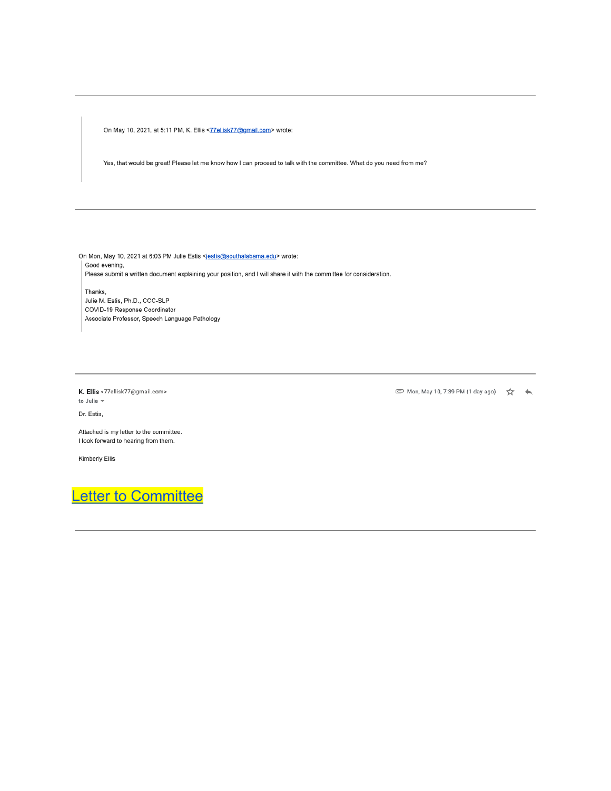On May 10, 2021, at 5:11 PM, K. Ellis <77ellisk77@gmail.com> wrote:

Yes, that would be great! Please let me know how I can proceed to talk with the committee. What do you need from me?

On Mon, May 10, 2021 at 6:03 PM Julie Estis <jestis@southalabama.edu> wrote: Good evening, Please submit a written document explaining your position, and I will share it with the committee for consideration.

Thanks, Julie M. Estis, Ph.D., CCC-SLP COVID-19 Response Coordinator Associate Professor, Speech Language Pathology

K. Ellis <77ellisk77@gmail.com>

to Julie -

Dr. Estis,

Attached is my letter to the committee. I look forward to hearing from them.

Kimberly Ellis

Letter to Committee

© Mon, May 10, 7:39 PM (1 day ago) ☆ ★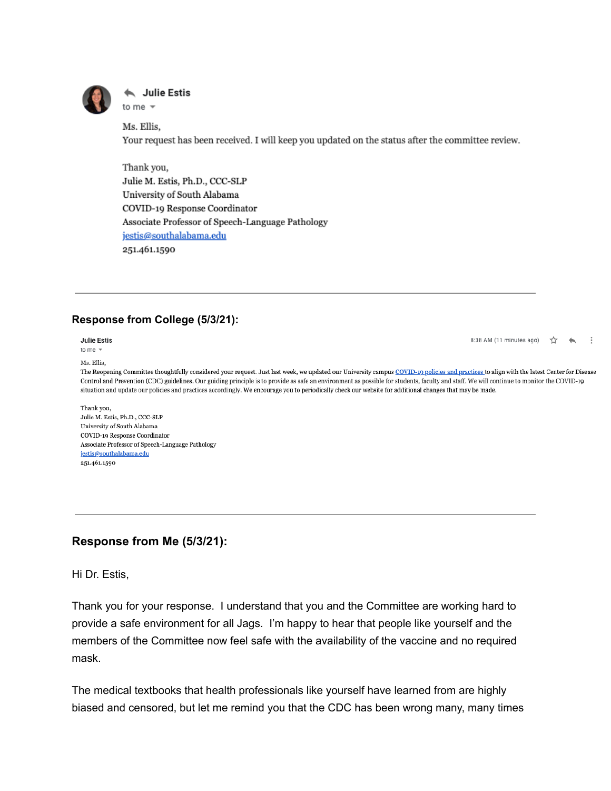

#### **Julie Estis** to me  $\sqrt{ }$

Ms. Ellis. Your request has been received. I will keep you updated on the status after the committee review.

Thank you, Julie M. Estis, Ph.D., CCC-SLP University of South Alabama COVID-19 Response Coordinator Associate Professor of Speech-Language Pathology jestis@southalabama.edu 251.461.1590

# **Response from College (5/3/21):**

**Julie Estis** 

to me  $\sqrt{*}$ 

Ms. Ellis.

8:38 AM (11 minutes ago) ☆

The Reopening Committee thoughtfully considered your request. Just last week, we updated our University campus COVID-19 policies and practices to align with the latest Center for Disease Control and Prevention (CDC) guidelines. Our guiding principle is to provide as safe an environment as possible for students, faculty and staff. We will continue to monitor the COVID-19 situation and update our policies and practices accordingly. We encourage you to periodically check our website for additional changes that may be made.

Thank you, Julie M. Estis, Ph.D., CCC-SLP University of South Alabama COVID-19 Response Coordinator Associate Professor of Speech-Language Pathology jestis@southalabama.edu 251.461.1590

# **Response from Me (5/3/21):**

Hi Dr. Estis,

Thank you for your response. I understand that you and the Committee are working hard to provide a safe environment for all Jags. I'm happy to hear that people like yourself and the members of the Committee now feel safe with the availability of the vaccine and no required mask.

The medical textbooks that health professionals like yourself have learned from are highly biased and censored, but let me remind you that the CDC has been wrong many, many times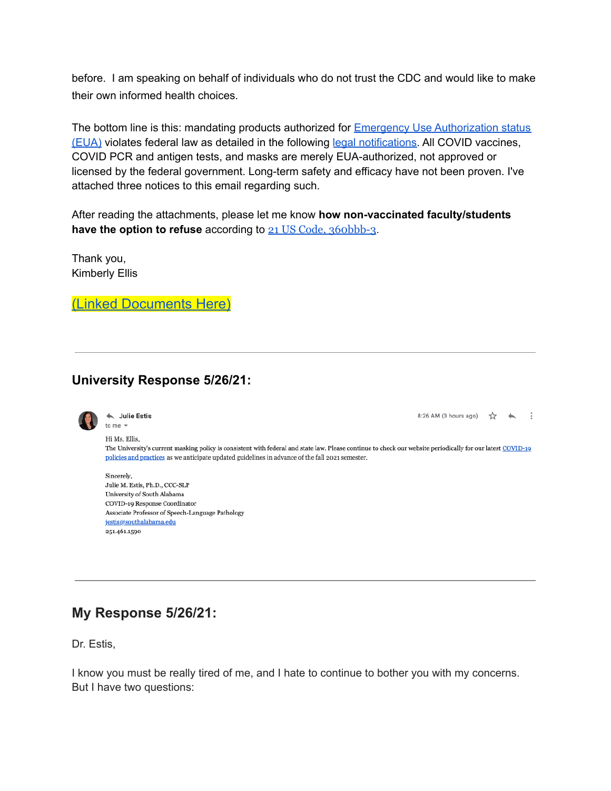before. I am speaking on behalf of individuals who do not trust the CDC and would like to make their own informed health choices.

The bottom line is this: mandating products authorized for **Emergency Use [Authorization](https://www.fda.gov/emergency-preparedness-and-response/mcm-legal-regulatory-and-policy-framework/emergency-use-authorization) status** [\(EUA\)](https://www.fda.gov/emergency-preparedness-and-response/mcm-legal-regulatory-and-policy-framework/emergency-use-authorization) violates federal law as detailed in the following legal [notifications.](https://www.fda.gov/drugs/types-applications/investigational-new-drug-ind-application#emergency) All COVID vaccines, COVID PCR and antigen tests, and masks are merely EUA-authorized, not approved or licensed by the federal government. Long-term safety and efficacy have not been proven. I've attached three notices to this email regarding such.

After reading the attachments, please let me know **how non-vaccinated faculty/students have the option to refuse** according to 21 US Code, [360bbb-3](https://www.law.cornell.edu/uscode/text/21/360bbb-3).

Thank you, Kimberly Ellis

(Linked [Documents](https://childrenshealthdefense.org/legal/legal-resources/) Here)

# **University Response 5/26/21:**



← Julie Estis to me  $\sqrt{*}$ 

Hi Ms. Ellis.

8:26 AM (3 hours ago) ☆ ← :

The University's current masking policy is consistent with federal and state law. Please continue to check our website periodically for our latest COVID-19 policies and practices as we anticipate updated guidelines in advance of the fall 2021 semester.

Sincerely, Julie M. Estis, Ph.D., CCC-SLP University of South Alabama COVID-19 Response Coordinator Associate Professor of Speech-Language Pathology jestis@southalabama.edu 251.461.1590

# **My Response 5/26/21:**

Dr. Estis,

I know you must be really tired of me, and I hate to continue to bother you with my concerns. But I have two questions: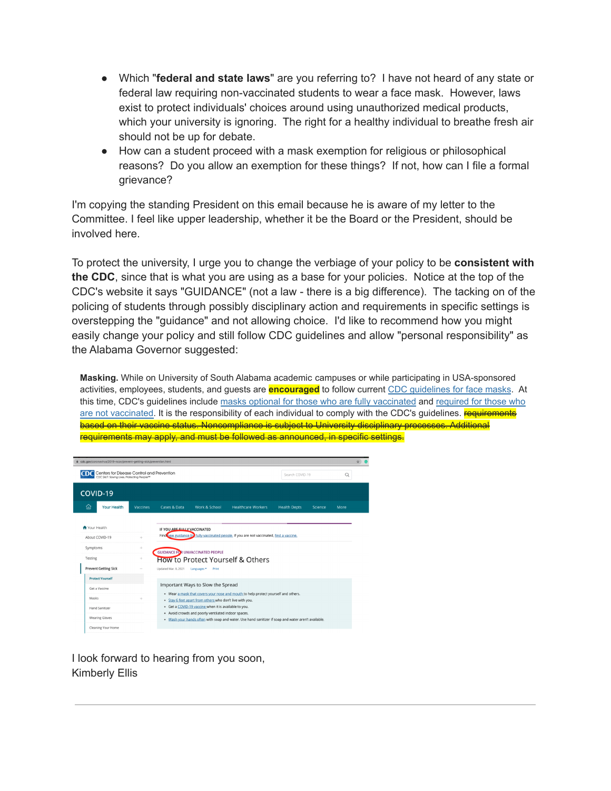- Which "**federal and state laws**" are you referring to? I have not heard of any state or federal law requiring non-vaccinated students to wear a face mask. However, laws exist to protect individuals' choices around using unauthorized medical products, which your university is ignoring. The right for a healthy individual to breathe fresh air should not be up for debate.
- How can a student proceed with a mask exemption for religious or philosophical reasons? Do you allow an exemption for these things? If not, how can I file a formal grievance?

I'm copying the standing President on this email because he is aware of my letter to the Committee. I feel like upper leadership, whether it be the Board or the President, should be involved here.

To protect the university, I urge you to change the verbiage of your policy to be **consistent with the CDC**, since that is what you are using as a base for your policies. Notice at the top of the CDC's website it says "GUIDANCE" (not a law - there is a big difference). The tacking on of the policing of students through possibly disciplinary action and requirements in specific settings is overstepping the "guidance" and not allowing choice. I'd like to recommend how you might easily change your policy and still follow CDC guidelines and allow "personal responsibility" as the Alabama Governor suggested:

**Masking.** While on University of South Alabama academic campuses or while participating in USA-sponsored activities, employees, students, and guests are **encouraged** to follow current [CDC guidelines for face masks](https://www.cdc.gov/coronavirus/2019-ncov/prevent-getting-sick/cloth-face-cover-guidance.html). At this time, CDC's guidelines include masks optional [for those who are fully vaccinated](https://www.cdc.gov/coronavirus/2019-ncov/vaccines/fully-vaccinated.html) and [required for](https://www.cdc.gov/coronavirus/2019-ncov/prevent-getting-sick/prevention.html) those who [are not vaccinated.](https://www.cdc.gov/coronavirus/2019-ncov/prevent-getting-sick/prevention.html) It is the responsibility of each individual to comply with the CDC's guidelines. **requirements** based on their vaccine status. Noncompliance is subject to University disciplinary processes. Additional requirements may apply, and must be followed as announced, in specific settings.



I look forward to hearing from you soon, Kimberly Ellis